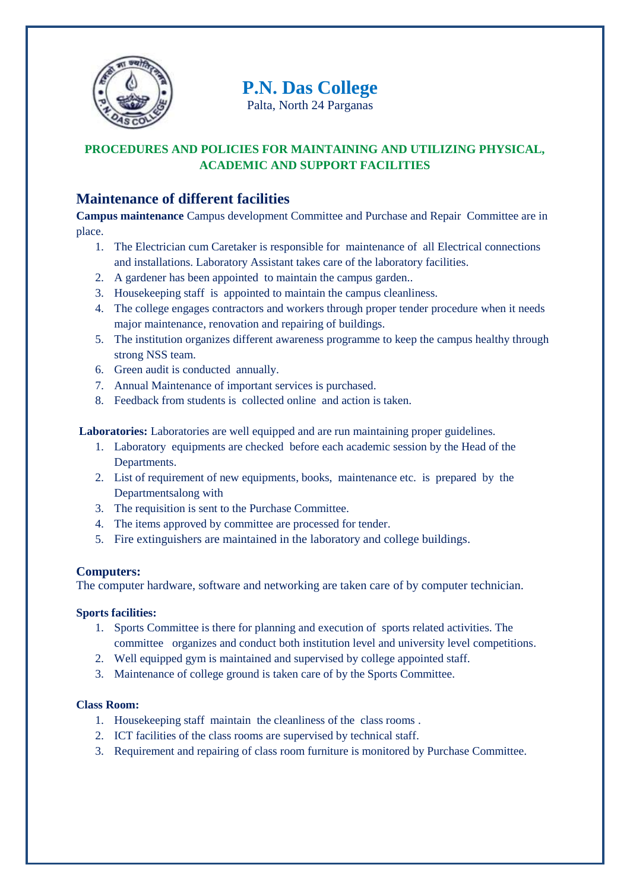

# **P.N. Das College**

Palta, North 24 Parganas

## **PROCEDURES AND POLICIES FOR MAINTAINING AND UTILIZING PHYSICAL, ACADEMIC AND SUPPORT FACILITIES**

## **Maintenance of different facilities**

**Campus maintenance** Campus development Committee and Purchase and Repair Committee are in place.

- 1. The Electrician cum Caretaker is responsible for maintenance of all Electrical connections and installations. Laboratory Assistant takes care of the laboratory facilities.
- 2. A gardener has been appointed to maintain the campus garden..
- 3. Housekeeping staff is appointed to maintain the campus cleanliness.
- 4. The college engages contractors and workers through proper tender procedure when it needs major maintenance, renovation and repairing of buildings.
- 5. The institution organizes different awareness programme to keep the campus healthy through strong NSS team.
- 6. Green audit is conducted annually.
- 7. Annual Maintenance of important services is purchased.
- 8. Feedback from students is collected online and action is taken.

**Laboratories:** Laboratories are well equipped and are run maintaining proper guidelines.

- 1. Laboratory equipments are checked before each academic session by the Head of the Departments.
- 2. List of requirement of new equipments, books, maintenance etc. is prepared by the Departmentsalong with
- 3. The requisition is sent to the Purchase Committee.
- 4. The items approved by committee are processed for tender.
- 5. Fire extinguishers are maintained in the laboratory and college buildings.

## **Computers:**

The computer hardware, software and networking are taken care of by computer technician.

### **Sports facilities:**

- 1. Sports Committee is there for planning and execution of sports related activities. The committee organizes and conduct both institution level and university level competitions.
- 2. Well equipped gym is maintained and supervised by college appointed staff.
- 3. Maintenance of college ground is taken care of by the Sports Committee.

### **Class Room:**

- 1. Housekeeping staff maintain the cleanliness of the class rooms .
- 2. ICT facilities of the class rooms are supervised by technical staff.
- 3. Requirement and repairing of class room furniture is monitored by Purchase Committee.